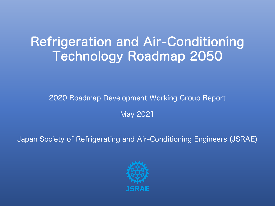# Refrigeration and Air-Conditioning Technology Roadmap 2050

2020 Roadmap Development Working Group Report

May 2021

Japan Society of Refrigerating and Air-Conditioning Engineers (JSRAE)

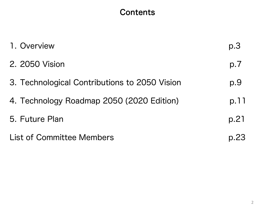## **Contents**

| 1. Overview                                   | p.3  |
|-----------------------------------------------|------|
| 2. 2050 Vision                                | p.7  |
| 3. Technological Contributions to 2050 Vision | p.9  |
| 4. Technology Roadmap 2050 (2020 Edition)     | p.11 |
| 5. Future Plan                                | p.21 |
| <b>List of Committee Members</b>              | p.23 |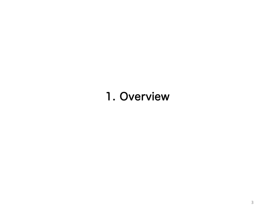# 1. Overview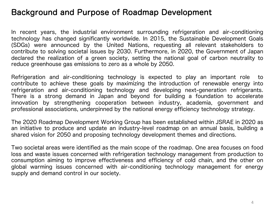## Background and Purpose of Roadmap Development

In recent years, the industrial environment surrounding refrigeration and air-conditioning technology has changed significantly worldwide. In 2015, the Sustainable Development Goals (SDGs) were announced by the United Nations, requesting all relevant stakeholders to contribute to solving societal issues by 2030. Furthermore, in 2020, the Government of Japan declared the realization of a green society, setting the national goal of carbon neutrality to reduce greenhouse gas emissions to zero as a whole by 2050.

Refrigeration and air-conditioning technology is expected to play an important role to contribute to achieve these goals by maximizing the introduction of renewable energy into refrigeration and air-conditioning technology and developing next-generation refrigerants. There is a strong demand in Japan and beyond for building a foundation to accelerate innovation by strengthening cooperation between industry, academia, government and professional associations, underpinned by the national energy efficiency technology strategy.

The 2020 Roadmap Development Working Group has been established within JSRAE in 2020 as an initiative to produce and update an industry-level roadmap on an annual basis, building a shared vision for 2050 and proposing technology development themes and directions.

Two societal areas were identified as the main scope of the roadmap. One area focuses on food loss and waste issues concerned with refrigeration technology management from production to consumption aiming to improve effectiveness and efficiency of cold chain, and the other on global warming issues concerned with air-conditioning technology management for energy supply and demand control in our society.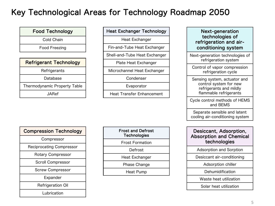## Key Technological Areas for Technology Roadmap 2050

| <b>Food Technology</b>        |
|-------------------------------|
| Cold Chain                    |
| Food Freezing                 |
|                               |
| <b>Refrigerant Technology</b> |
| Refrigerants                  |
| Database                      |
| Thermodynamic Property Table  |
| <b>JARef</b>                  |

Heat Exchanger Technology Heat Exchanger

Fin-and-Tube Heat Exchanger

Shell-and-Tube Heat Exchanger

Plate Heat Exchanger

Microchannel Heat Exchanger

Condenser

Evaporator

Heat Transfer Enhancement

| <b>Compression Technology</b>   |
|---------------------------------|
| Compressor                      |
| <b>Reciprocating Compressor</b> |
| <b>Rotary Compressor</b>        |
| <b>Scroll Compressor</b>        |
| <b>Screw Compressor</b>         |
| Expander                        |
| <b>Refrigeration Oil</b>        |
| Lubrication                     |

| <b>Frost and Defrost</b><br><b>Technologies</b> |  |
|-------------------------------------------------|--|
| <b>Frost Formation</b>                          |  |
| Defrost                                         |  |
| <b>Heat Exchanger</b>                           |  |
| Phase Change                                    |  |
| Heat Pump                                       |  |
|                                                 |  |

### Next-generation technologies of refrigeration and airconditioning system

Next-generation technologies of refrigeration system

Control of vapor compression refrigeration cycle

Sensing system, actuator and control system for new refrigerants and mildly flammable refrigerants

Cycle control methods of HEMS and BEMS

Separate sensible and latent cooling air-conditioning system

### Desiccant, Adsorption, Absorption and Chemical technologies

Adsorption and Sorption

Desiccant air-conditioning

Adsorption chiller

Dehumidification

Waste heat utilization

Solar heat utilization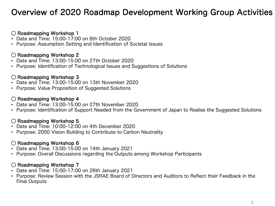## Overview of 2020 Roadmap Development Working Group Activities

### ◯ Roadmapping Workshop 1

- Date and Time: 15:00-17:00 on 8th October 2020
- Purpose: Assumption Setting and Identification of Societal Issues

### ◯ Roadmapping Workshop 2

- Date and Time: 13:00-15:00 on 27th October 2020
- Purpose: Identification of Technological Issues and Suggestions of Solutions

### ◯ Roadmapping Workshop 3

- Date and Time: 13:00-15:00 on 13th November 2020
- Purpose: Value Proposition of Suggested Solutions

### ◯ Roadmapping Workshop 4

- Date and Time: 13:00-15:00 on 27th November 2020
- Purpose: Identification of Support Needed from the Government of Japan to Realise the Suggested Solutions

### ◯ Roadmapping Workshop 5

- Date and Time: 10:00-12:00 on 4th December 2020
- Purpose: 2050 Vision Building to Contribute to Carbon Neutrality

### ◯ Roadmapping Workshop 6

- Date and Time: 13:00-15:00 on 14th January 2021
- Purpose: Overall Discussions regarding the Outputs among Workshop Participants

### ◯ Roadmapping Workshop 7

- Date and Time: 15:00-17:00 on 28th January 2021
- Purpose: Review Session with the JSRAE Board of Directors and Auditors to Reflect their Feedback in the Final Outputs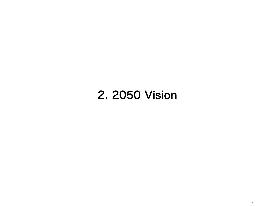# 2. 2050 Vision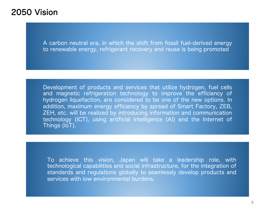## 2050 Vision

A carbon neutral era, in which the shift from fossil fuel-derived energy to renewable energy, refrigerant recovery and reuse is being promoted

Development of products and services that utilize hydrogen, fuel cells and magnetic refrigeration technology to improve the efficiency of hydrogen liquefaction, are considered to be one of the new options. In addition, maximum energy efficiency by spread of Smart Factory, ZEB, ZEH, etc. will be realized by introducing information and communication technology (ICT), using artificial intelligence (AI) and the Internet of Things (IoT).

To achieve this vision, Japan will take a leadership role, with technological capabilities and social infrastructure, for the integration of standards and regulations globally to seamlessly develop products and services with low environmental burdens.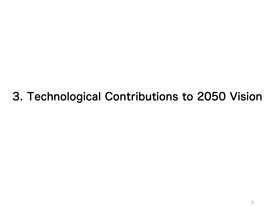# 3. Technological Contributions to 2050 Vision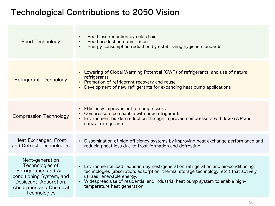## Technological Contributions to 2050 Vision

| <b>Food Technology</b>                                                                                                                                                             | Food loss reduction by cold chain<br>$\bullet$<br>Food production optimization<br>$\bullet$<br>Energy consumption reduction by establishing hygiene standards<br>$\bullet$                                                                                                                                                                           |
|------------------------------------------------------------------------------------------------------------------------------------------------------------------------------------|------------------------------------------------------------------------------------------------------------------------------------------------------------------------------------------------------------------------------------------------------------------------------------------------------------------------------------------------------|
| <b>Refrigerant Technology</b>                                                                                                                                                      | Lowering of Global Warming Potential (GWP) of refrigerants, and use of natural<br>$\bullet$<br>refrigerants<br>• Promotion of refrigerant recovery and reuse<br>Development of new refrigerants for expanding heat pump applications<br>$\bullet$                                                                                                    |
| <b>Compression Technology</b>                                                                                                                                                      | Efficiency improvement of compressors<br>$\bullet$<br>Compressors compatible with new refrigerants<br>Environment burden reduction through improved compressors with low GWP and<br>$\bullet$<br>natural refrigerants                                                                                                                                |
| Heat Exchanger, Frost<br>and Defrost Technologies                                                                                                                                  | Dissemination of high efficiency systems by improving heat exchange performance and<br>$\bullet$<br>reducing heat loss due to frost formation and defrosting                                                                                                                                                                                         |
| Next-generation<br>Technologies of<br><b>Refrigeration and Air-</b><br>conditioning System, and<br>Desiccant, Adsorption,<br><b>Absorption and Chemical</b><br><b>Technologies</b> | Environmental load reduction by next-generation refrigeration and air-conditioning<br>$\bullet$<br>technologies (absorption, adsorption, thermal storage technology, etc.) that actively<br>utilizes renewable energy.<br>Widespread use of residential and industrial heat pump system to enable high-<br>$\bullet$<br>temperature heat generation. |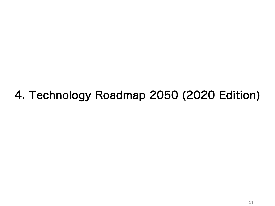# 4. Technology Roadmap 2050 (2020 Edition)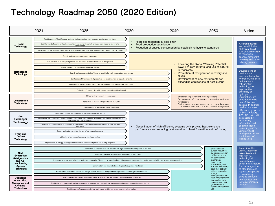## Technology Roadmap 2050 (2020 Edition)

|                                                                                         | 2021 | 2025                                                                                                                                                                                                                                                                                                                                                                                                                                                                                                                                   | 2030                                                                                                                                                                                                                          | 2040                                                                                                                                   | 2050                                                                                                                                                                                                                             | Vision                                                                                                                                                                                                                                               |
|-----------------------------------------------------------------------------------------|------|----------------------------------------------------------------------------------------------------------------------------------------------------------------------------------------------------------------------------------------------------------------------------------------------------------------------------------------------------------------------------------------------------------------------------------------------------------------------------------------------------------------------------------------|-------------------------------------------------------------------------------------------------------------------------------------------------------------------------------------------------------------------------------|----------------------------------------------------------------------------------------------------------------------------------------|----------------------------------------------------------------------------------------------------------------------------------------------------------------------------------------------------------------------------------|------------------------------------------------------------------------------------------------------------------------------------------------------------------------------------------------------------------------------------------------------|
| Food<br>Technology                                                                      |      | Establishment of food freezing and cold chain technology that complies with hygiene standards<br>Establishment of quality evaluation model that can comprehensively evaluate from freezing, thawing to<br>consumption<br>Visualization of the optimum value (optimal energy amount) for total engineering in food freezing and cold chain                                                                                                                                                                                              |                                                                                                                                                                                                                               | Food loss reduction by cold chain<br>Food production optimization<br>Reduction of energy consumption by establishing hygiene standards |                                                                                                                                                                                                                                  | A carbon neutral<br>era, in which the<br>shift from fossil<br>fuel-derived energy                                                                                                                                                                    |
| Refrigerant<br>Technology                                                               |      | Search and development of new refrigerants<br>Full utilization of existing refrigerants and expansion of applications due to deregulation<br>Emission reduction by promoting refrigerant recovery<br>Search and development of refrigerants suitable for high-temperature heat pumps<br>Clarification of thermophysical properties and establishment of equation of state<br>Evaluation of thermodynamic performance and selection of suitable heat pump cycle<br>Evaluation of compatibility with various materials and lubricant oil |                                                                                                                                                                                                                               | refrigerants<br>reuse                                                                                                                  | Lowering the Global Warming Potential<br>(GWP) of refrigerants, and use of natural<br>Promotion of refrigeration recovery and<br>Development of new refrigerants for<br>expanding applications of heat pumps                     | to renewable<br>energy, refrigerant<br>recovery and reuse<br>is being promoted.<br>Development of<br>products and<br>services that utilize<br>hydrogen, fuel cells<br>and magnetic<br>refrigeration<br>technology to<br>improve the<br>efficiency of |
| Compression<br>Technology                                                               |      | Efficiency improvement of compressors<br>Adaptation to various refrigerants with low GWP<br>Establishment of refrigerant-saving technology                                                                                                                                                                                                                                                                                                                                                                                             |                                                                                                                                                                                                                               | refrigerants                                                                                                                           | Efficiency improvement of compressors<br>Development of compressors compatible with new<br>Environment burden reduction through improved<br>compressors with low GWP and natural refrigerants                                    | hydrogen<br>liquefaction, are<br>considered to be<br>one of the new<br>options. In addition,<br>maximum energy                                                                                                                                       |
| Heat<br>Exchanger<br>Technology                                                         |      | Development of heat exchangers with ultra-low refrigerant amount<br>Coefficient Of Performance (COP) improvement and further comfortability by independent ventilation of indoor air<br>circulation and heat exchanger<br>Promotion of renewable energy utilization, and control on maximum power consumption by heat storage<br>mechanism                                                                                                                                                                                             |                                                                                                                                                                                                                               | Dissemination of high efficiency systems by improving heat exchange                                                                    |                                                                                                                                                                                                                                  | efficiency by spread<br>of Smart Factory,<br>ZEB, ZEH, etc. will<br>be realized by<br>introducing<br>information and<br>communication                                                                                                                |
| <b>Frost and</b><br>Defrost<br>Technology                                               |      | Energy-saving by promoting the use of air-source heat pump<br>Utilization of air-source heat pump for stable heating<br>Improvement of energy-saving performance of air-cooled heat pumps for heating purposes                                                                                                                                                                                                                                                                                                                         |                                                                                                                                                                                                                               | performance and reducing heat loss due to frost formation and defrosting                                                               |                                                                                                                                                                                                                                  | technology (ICT),<br>using artificial<br>intelligence (AI) and<br>the Internet of<br>Things (IoT).                                                                                                                                                   |
| Next<br>Generation<br>Refrigeration<br>and Air-<br>conditioning<br>System<br>Technology |      | Promotion of waste heat utilization, and development of refrigeration, air-conditioning and heat pump equipment that can be operated with lower temperature waste heat<br>Establishment of element and system design, system operation, and performance prediction technologies linked with Al                                                                                                                                                                                                                                         | Realization of a system that can operate with high efficiency from high load to low load<br>Optimization of energy balance by networking all heat loads<br>Simplification and no waste technologies of equipment installation |                                                                                                                                        | Environmental<br>burden reduction<br>by next generation<br>refrigeration and<br>air-conditioning<br>technology<br>(absorption,<br>adsorption, heat<br>storage technology,<br>etc.) that actively<br>utilizes renewable<br>energy | To achieve this<br>vision, Japan will<br>take a leadership<br>role with its<br>technological<br>capabilities and<br>social infrastructure,<br>for the integration<br>of standards and<br>regulations globally<br>to seamlessly                       |
| Desiccant.<br>Adsorption,<br>Absorption and<br>Chemical<br>Technology                   |      | Development of absorption, adsorption, chemical heat storage material with suitable physical properties<br>Elucidation of phenomena in various absorption, adsorption and chemical heat storage technologies and establishment of the theory<br>Establishment of system optimization technology for high performance and miniaturization                                                                                                                                                                                               |                                                                                                                                                                                                                               |                                                                                                                                        | Widespread use of<br>heat pump systems<br>that enable high<br>temperature heat<br>generation for<br>home and industrial<br><b>USe</b>                                                                                            | develop products<br>and services with<br>low environmental<br>burdens.                                                                                                                                                                               |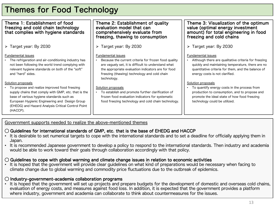## Themes for Food Technology

| Theme 1: Establishment of food<br>freezing and cold chain technology<br>that complies with hygiene standards                                                                                                                                                                                 | Theme 2: Establishment of quality<br>evaluation model that can<br>comprehensively evaluate from<br>freezing, thawing to consumption                                                                                                                    | Theme 3: Visualization of the optimum<br>value (optimal energy investment<br>amount) for total engineering in food<br>freezing and cold chains                                                                          |
|----------------------------------------------------------------------------------------------------------------------------------------------------------------------------------------------------------------------------------------------------------------------------------------------|--------------------------------------------------------------------------------------------------------------------------------------------------------------------------------------------------------------------------------------------------------|-------------------------------------------------------------------------------------------------------------------------------------------------------------------------------------------------------------------------|
| $\triangleright$ Target year: By 2030                                                                                                                                                                                                                                                        | $\triangleright$ Target year: By 2030                                                                                                                                                                                                                  | $\triangleright$ Target year: By 2030                                                                                                                                                                                   |
| Fundamental issues<br>• The refrigeration and air-conditioning industry has<br>not been following the world trend complying with<br>relevant hygiene standards on both of the "soft"<br>and "hard" sides.                                                                                    | Fundamental issues<br>Because the current criteria for frozen food quality<br>are vaguely set, it is difficult to understand what<br>the appropriate evaluation indicators are for food<br>freezing (thawing) technology and cold chain<br>technology. | Fundamental issues<br>Although there are qualitative criteria for freezing<br>quickly and maintaining temperature, there are no<br>quantitative criteria for them, and the balance of<br>energy costs is not clarified. |
| Solution proposals<br>To propose and realize improved food freezing<br>supply chains that comply with GMP, etc. that is the<br>base of various hygiene standards such as<br>European Hygienic Engineering and Design Group<br>(EHEDG) and Hazard Analysis Critical Control Point<br>(HACCP). | Solution proposals<br>To establish and promote further clarification of<br>frozen food evaluation indicators for systematic<br>food freezing technology and cold chain technology.                                                                     | Solution proposals<br>To quantify energy costs in the process from<br>production to consumption, and to propose and<br>promote the ideal state of how food freezing<br>technology could be utilized.                    |

#### Government supports needed to realize the above-mentioned themes

### $\bigcirc$  Guidelines for international standards of GMP, etc. that is the base of EHEDG and HACCP

- It is desirable to set numerical targets to cope with the international standards and to set a deadline for officially applying them in Japan.
- It is recommended Japanese government to develop a policy to respond to the international standards. Then industry and academia would be able to work toward their goals through collaboration accordingly with that policy.

### $\bigcirc$  Guidelines to cope with global warming and climate change issues in relation to economic activities

It is hoped that the government will provide clear quidelines on what kind of preparations would be necessary when facing to climate change due to global warming and commodity price fluctuations due to the outbreak of epidemics.

### ◯ Industry-government-academia collaboration programs

• It is hoped that the government will set up projects and prepare budgets for the development of domestic and overseas cold chains, evaluation of energy costs, and measures against food loss. In addition, it is expected that the government provides a platform where industry, government and academia can collaborate to think about countermeasures for the issues.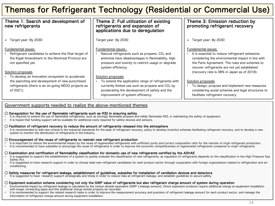## Themes for Refrigerant Technology (Residential or Commercial Use)

| Theme 1: Search and development of<br>new refrigerants                                                                                                                        | Theme 2: Full utilization of existing<br>refrigerants and expansion of<br>applications due to deregulation                                                                                                              | Theme 3: Emission reduction by<br>promoting refrigerant recovery                                                                                                                                                                                                            |
|-------------------------------------------------------------------------------------------------------------------------------------------------------------------------------|-------------------------------------------------------------------------------------------------------------------------------------------------------------------------------------------------------------------------|-----------------------------------------------------------------------------------------------------------------------------------------------------------------------------------------------------------------------------------------------------------------------------|
| $\triangleright$ Target year: By 2030                                                                                                                                         | Target year: By 2030                                                                                                                                                                                                    | Target year: By 2030<br>➤                                                                                                                                                                                                                                                   |
| Fundamental issues:<br>Refrigerant candidates to achieve the final target of<br>the Kigali Amendment to the Montreal Protocol are<br>not specified yet.<br>Solution proposals | Fundamental issues:<br>Natural refrigerants such as propane, CO <sub>2</sub> and<br>ammonia have disadvantages in flammability, high<br>pressure and toxicity to restrict usage or degrade<br>system efficiency.        | Fundamental issues:<br>It is essential to reduce refrigerant emissions<br>considering the environmental impact in line with<br>the Paris Agreement. The rules and schemes to<br>recover refrigerants are not yet established<br>(recovery rate is 38% in Japan as of 2018). |
| To develop an innovation ecosystem to accelerate<br>the searching and development of new pure/mixed<br>refrigerants (there is an on-going NEDO projects as<br>of 2021).       | Solution proposals<br>To extend the application range of refrigerants with<br>currently limited use such as propane and $CO2$ by<br>accelerating the development of safety and the<br>improvement of system efficiency. | Solution proposals<br>To design, propose and implement new measures<br>considering social schemes and legal structures to<br>facilitate refrigerant recovery.                                                                                                               |

#### Government supports needed to realize the above-mentioned themes

#### $\bigcirc$  Deregulation for the use of flammable refrigerants such as R32 in ensuring safety

- It is required to extend the use of flammable refrigerants, such as strongly flammable propane and mildly flammable R32, in maintaining the safety of equipment.
- It is hoped that funding support will be available for additional costs required for safety devices and sensors.

#### ◯ Facilitation of refrigerant recovery to reduce the amount of refrigerants released into the atmosphere

It is recommended to add new criteria in the industrial standards for the ease of refrigerant recovery, policy to develop incentive schemes facilitating refrigerant recovery, and to develop a new system to monitor the distribution of refrigerants in the industry.

#### $\bigcirc$  Encouragement of the reuse of refrigerants to restrain new refrigerant production

- It is important to reduce the environmental impact by the reuse of regenerated refrigerants with sufficient purity and correct composition ratio for the restrain of virgin refrigerant production.
- It is recommended to have subsidies to encourage the reuse of refrigerants in order to improve the economic competitiveness of regenerated refrigerants compared to virgin refrigerants.

#### $\circ$  Examination and certification of flammability classification for domestic use of new refrigerants certified by the ASHAE

- It is suggested to support the establishment of a system to quickly evaluate the classification of new refrigerants, as regulation of refrigerants depends on the classification in the High Pressure Gas Safety Act.
- It is suggested to have research support in order to choose ideal new refrigerant candidates for each product sector through cooperation with foreign organizations related to refrigeration and airconditioning.

#### ◯ Safety measures for refrigerant leakage, establishment of guidelines, subsidies for installation of ventilation devices and detectors

It is suggested to have research support strategically and timely in order to reduce risks at refrigerant leakage, and establish guidelines to secure safety.

#### ◯ Equipment evaluation scheme considering not only the GWP value of refrigerants but also refrigerant charge amount of system during operation

- Environmental impact by refrigerant leakage is calculated by the carbon dioxide equivalent (GWP x leakage amount). Direct expansion products require additional charge at equipment installation with longer connecting pipes and this additional charge should properly be recorded.
- It is recommended to support the related research tasks in order to improve the measurement accuracy and precision of refrigerant leakage amount for each product sector, and manage the information of refrigerant charge amount during equipment installation.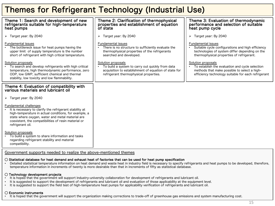## Themes for Refrigerant Technology (Industrial Use)

| Theme 1: Search and development of new<br>refrigerants suitable for high-temperature<br>heat pumps                                                                                                                                                                                             | Theme 2: Clarification of thermophysical<br>properties and establishment of equation<br>of state                                                                          | Theme 3: Evaluation of thermodynamic<br>performance and selection of suitable<br>heat pump cycle                                                                              |
|------------------------------------------------------------------------------------------------------------------------------------------------------------------------------------------------------------------------------------------------------------------------------------------------|---------------------------------------------------------------------------------------------------------------------------------------------------------------------------|-------------------------------------------------------------------------------------------------------------------------------------------------------------------------------|
| $\triangleright$ Target year: By 2040                                                                                                                                                                                                                                                          | Target year: By 2040<br>➤                                                                                                                                                 | Target year: By 2040<br>➤                                                                                                                                                     |
| Fundamental issues<br>The bottleneck issue for heat pumps having the<br>upper limit of supply temperature is the number<br>short of refrigerant with high critical temperature.                                                                                                                | <b>Fundamental issues</b><br>There is no structure to sufficiently evaluate the<br>thermophysical properties of the refrigerants<br>searched and developed.               | <b>Fundamental issues</b><br>Suitable cycle configurations and high efficiency<br>technologies of system differ depending on the<br>thermophysical properties of refrigerant. |
| Solution proposals<br>To search and develop refrigerants with high critical<br>temperature, high thermodynamic performance, zero<br>ODP, low GWP, sufficient chemical and thermal<br>stability, low toxicity and low flammability.                                                             | Solution proposals<br>To build a system to carry out quickly from data<br>acquisition to establishment of equation of state for<br>refrigerant thermophysical properties. | Solution proposals<br>To establish the evaluation and cycle selection<br>methods that make possible to select a high-<br>efficiency technology suitable for each refrigerant  |
| Theme 4: Evaluation of compatibility with<br>various materials and lubricant oil                                                                                                                                                                                                               |                                                                                                                                                                           |                                                                                                                                                                               |
| $\triangleright$ Target year: By 2040                                                                                                                                                                                                                                                          |                                                                                                                                                                           |                                                                                                                                                                               |
| <b>Fundamental challenges</b><br>It is necessary to clarify the refrigerant stability at<br>$\bullet$<br>high-temperature in actual conditions, for example, a<br>state where oxygen, water and metal material are<br>coexistent, the compatibilities of resin material or<br>refrigerant oil. |                                                                                                                                                                           |                                                                                                                                                                               |
| Solution proposals<br>To build a system to share information and tasks<br>regarding refrigerant stability and material<br>compatibility.                                                                                                                                                       |                                                                                                                                                                           |                                                                                                                                                                               |

#### Government supports needed to realize the above-mentioned themes

#### $\bigcirc$  Statistical database for heat demand and exhaust heat of factories that can be used for heat pump specification

• Detailed statistical temperature information on heat demand and waste heat in industry field is necessary to specify refrigerants and heat pumps to be developed, therefore, temperature information in increments of twenty is more desirable than that in increments of fifty as statistical database.

#### ◯ Technology development projects

- It is hoped that the government will support industry-university collaboration for development of refrigerants and lubricant oil.
- It is suggested to support the development of refrigerants and lubricant oil and evaluation of those applicability at the equipment level.
- It is suggested to support the field test of high-temperature heat pumps for applicability verification of refrigerants and lubricant oil.

#### ◯ Economic instruments

• It is hoped that the government will support the organization making corrections to trade-off of greenhouse gas emissions and system manufacturing cost.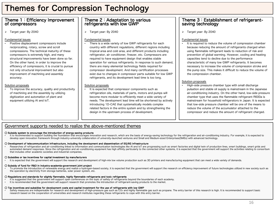## Themes for Compression Technology

## Theme 1:Efficiency Improvement of compressors

Ø Target year: By 2040

#### Fundamental issues

• Positive displacement compressors include reciprocating, rotary, screw and scroll compressions. The technical maturity of these compressors is extremely high, and many structural improvements have been done so far. On the other hand, in order to improve the efficiency of compressors, it is crucial to pursue not only structural improvement but also improvement of machining and assembly accuracy.

#### Solution proposals

• To improve the accuracy, quality and productivity of machining and the assembly by utilizing digitization and automation of plant and equipment utilizing AI and IoT.

## Theme 2: Adaptation to various<br>refrigerants with low GWP

Ø Target year: By 2040

#### Fundamental issues

There is a wide variety of low GWP refrigerants for each country with different regulations, different regions including tropical area and cold area, and different products including refrigerator, air conditioner, freezer, etc. Compressors are required to have equipment design that enables stable operation for various refrigerants. In response to such demand, there are many elemental technology fields required for compressor development. And many certification processes exist due to changes in compressor parts suitable for low GWP refrigerants, and its development lead time is too long.

#### Solution proposals

It is expected that compressor components such as refrigeration oils, materials of parts, motors and pumps will become more modular to efficiently meet a wide variety of needs. The development lead time will be shortened by actively introducing 1D-CAE that systematically models complex related factors in the entire system and by strengthening the design in the upstream process of development.

## Theme 3: Establishment of refrigerant-<br>saving technology

> Target year: By 2040

#### Fundamental issues

It is required to reduce the volume of compression chamber because reducing the amount of refrigerants charged when using flammable refrigerant leads to reduction of risk and prevention of global warming. However, cooling and heating capacities tend to decline due to the performance characteristic of many low GWP refrigerants. It becomes necessary to increase the volume of compression stroke and the pump size. This makes it difficult to reduce the volume of the compression chamber.

#### Solution proposals

• High-side pressure chamber type with small discharge pulsation and stable oil supply is mainstream in the Japanese air-conditioning industry. On the other hand, low-side pressure chamber type that uses the flammable refrigerant R600a is mainstream for household refrigerators in Japan. It is expected that low-side pressure chamber will be one of the means to reduce the volume of the accumulator attached to the compressor and reduce the amount of refrigerant charged.

#### Government supports needed to realize the above-mentioned themes

#### ◯ Subsidy system to encourage the introduction of energy-saving products

It is recommended to support building the foundation that encourages innovation and research, which are the basis of energy-saving technology for the refrigeration and air-conditioning industry. For example, it is expected develop open innovation framework through industry-university collaboration of university-launched ventures and Small and Medium-sized Enterprises(SMEs) with advanced technology.

#### ◯ Development of telecommunication infrastructure, including the development and dissemination of 5G/6G infrastructure

Researches of refrigeration and air-conditioning linked to information and communication technologies like AI and IoT are progressing such as smart factories and digital twin of production lines, smart buildings, smart gri automated demand responses. Since the refrigeration and air-conditioning equipment has high affinity particularly to the connected other systems, it is expected that the government will support the activities relating to c that includes other academic societies and industrial companies.

#### ◯ Subsidies or tax incentives for capital investment by manufacturers

It is expected that the government will support the research and development of high-mix low volume production such as 3D printers and manufacturing equipment that can meet a wide variety of demands.

#### ◯ Subsidy of fund for R&D in industry-academia-government joint project

To promote the introduction of renewable energy and realize a hydrogen-based society, it is expected that the government will support the research on efficiency improvement of future technologies utilized in new society su the operation by electricity from storage batteries, solar power system, etc.

#### ◯ Regulations and standards for slightly flammable, highly flammable refrigerants and toxic refrigerants

- It is suggested that the government will support open conferences on the topic of safety of refrigerants beyond the boundaries of each academy.
- It is recommended that the government will support research that promotes the introduction of refrigerant-saving products to the market.

#### ◯ Tax incentives and subsidies for development costs and capital investment for the use of refrigerants with low GWP

Safety measures are indispensable for research and development of high-pressure gas such as CO<sub>2</sub> and highly flammable gas such as propane. The entry barrier of this research is high. It is recommended to support basic research based on the cooperation of universities and research institutes regarding these refrigerants to cope with this entry barrier.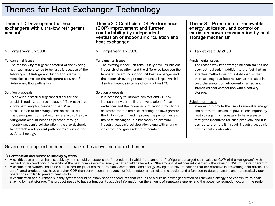## Themes for Heat Exchanger Technology

#### Theme1:Development of heat exchangers with ultra-low refrigerant amount

Ø Target year: By 2030

#### Fundamental issues

The reason why refrigerant amount of the existing heat exchangers tends to be large is because of the followings: 1) Refrigerant distributor is large, 2) Heat flux is small on the refrigerant side, and 3) Refrigerant flow path is long.

#### Solution proposals

• To develop a small refrigerant distributor and establish optimization technology of "flow path area x flow path length x number of paths" in consideration of fin arrangement on the air side. The development of heat exchangers with ultra-low refrigerant amount needs to proceed through industry-academia collaboration. It is also desirable to establish a refrigerant path optimization method by AI technology.

#### Theme 2: Coefficient Of Performance (COP) improvement and further comfortability by independent ventilation of indoor air circulation and heat exchanger

Ø Target year: By 2030

#### Fundamental issues

The existing indoor unit fans usually have insufficient indoor air circulation, and the difference between the temperature around indoor unit heat exchanger and the indoor air average temperature is large, which is disadvantageous in terms of comfort and COP.

#### Solution proposals

It is necessary to improve comfort and COP by independently controlling the ventilation of heat exchanger and the indoor air circulation. Providing a dedicated fan for the heat exchanger allows greater flexibility in design and improves the performance of the heat exchanger. It is necessary to promote industry-academia collaboration along with sharing indicators and goals related to comfort.

#### Theme 3: Promotion of renewable energy utilization, and control on maximum power consumption by heat storage mechanism

Ø Target year: By 2030

#### Fundamental issues

The reason why heat storage mechanism has not been yet realized, in addition to the fact that an effective method was not established, is that there are negative factors such as increases in cost, the amount of refrigerant charged, and intensified cost competition with electricity storage.

#### Solution proposals

In order to promote the use of renewable energy and control the maximum power consumption by heat storage, it is necessary to have a system that gives incentives for such products, and it is desired to promote it through industry-academiagovernment collaboration.

### Government support needed to realize the above-mentioned themes

#### ◯ Certification and purchase subsidy systems

- A certification and purchase subsidy system should be established for products in which "the amount of refrigerant charged x the value of GWP of the refrigerant" with respect to air-conditioning capacity of the heat pump system is small, or tax should be levied on "the amount of refrigerant charged x the value of GWP of the refrigerant."
- A certification system should be established for products that are highly comfortable and energy-saving, and have functions that are effective in preventing heat stroke. The certificated product must have a higher COP than conventional products, sufficient indoor air circulation capacity, and a function to detect humans and automatically start operation in order to prevent heat stroke.
- A certification and purchase subsidy system should be established for products that can utilize a surplus power generation of renewable energy and contribute to peak shaving by heat storage. The product needs to have a function to acquire information on the amount of renewable energy and the power consumption occur in the region.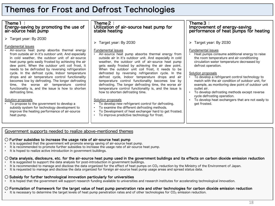## Themes for Frost and Defrost Technologies

### Theme1: Energy-saving by promoting the use of air-source heat pump

Ø Target year: By 2030

#### Fundamental issues

• Air-source heat pump absorbs thermal energy from outside air in it's outdoor unit. And especially in cold weather, the outdoor unit of air-source heat pump gets easily frosted by achieving the air dew point. When the outdoor unit coil frost, it needs to be defrosted by reversing refrigeration cycle. In the defrost cycle, Indoor temperature drops and air temperature control functionality becomes low by defrosting. The longer defrosting time, the worse air temperature control functionality is, and the issue is how to shorten defrosting time.

#### Solution proposals

• To propose to the government to develop a subsidy system for technology development to improve the heating performance of air-source heat pump.

### Theme2: Utilization of air-source heat pump for stable heating

Ø Target year: By 2030

#### Fundamental issues

Air-source heat pump absorbs thermal energy from outside air in it's outdoor unit. And especially in cold weather, the outdoor unit of air-source heat pump gets easily frosted by achieving the air dew point. When the outdoor unit coil frost, it needs to be defrosted by reversing refrigeration cycle. In the defrost cycle, Indoor temperature drops and air temperature control functionality becomes low by defrosting. The longer defrosting time, the worse air temperature control functionality is, and the issue is how to shorten defrosting time.

#### Solution proposals

- To develop new refrigerant control for defrosting.
- To examine the different defrosting methods.
- To Development of heat exchanger hard to get frosted.
- To improve predictive technology for frost.

# Theme 3:<br>Improvement of energy-saving<br>performance of heat pumps for heating

Ø Target year: By 2030

#### Fundamental issues

• Heat pumps consume additional energy to raise the room temperature and air-conditioning circulation water temperature decreased by defrost operation.

#### Solution proposals

- To develop a refrigerant control technology to match with the air condition of outdoor unit, for example, as monitoring dew point of outdoor unit outlet air.
- To develop defrosting methods except reverse cycle defrosting operation.
- To develop heat exchangers that are not easily to get frosted.

### Government supports needed to realize above-mentioned themes

#### $\bigcirc$  Further subsidies to increase the usage rate of air-source heat pump

- It is suggested that the government will promote energy saving of air-source heat pump.
- It is recommended to promote further subsidies to increase the usage rate of air-source heat pump.
- It is hoped to realize active introduction in government buildings.

#### $\bigcirc$  Data analysis, disclosure, etc. for the air-source heat pump used in the government buildings and its effects on carbon dioxide emission reduction

- It is suggested to support the data analysis for post-introduction in government buildings.
- It is recommended to manage and disclose the data organized for the effect of heat pumps on CO<sub>2</sub> reduction by the Ministry of the Environment of Japan.
- It is requested to manage and disclose the data organized for foreign air-source heat pump usage areas and spread status data.

### ◯ Subsidy for further technological innovation particularly for universities

• It is hoped that the government will support research funding available to universities and research institutes for accelerating technological innovation.

### ◯ Formulation of framework for the target value of heat pump penetration rate and other technologies for carbon dioxide emission reduction

 $\cdot$  It is necessary to determine the target levels of heat pump penetration rates and of other technologies for CO<sub>2</sub> emission reduction.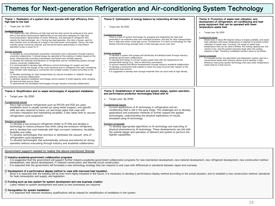## Themes for Next-generation Refrigeration and Air-conditioning System Technology

| Theme 1: Realization of a system that can operate with high efficiency from<br>high load to low load                                                                                                                                                                                                                                                                                                                                                                                                                                                                                                                                                                                                                                                                                                                                                                                                                                                                                                                                                                                                                                                                                                                                                                                                                                                                                                                                                                                                                                                                                                                                                                                                                                     | Theme 2: Optimization of energy balance by networking all heat loads                                                                                                                                                                                                                                                                                                                                                                                                                                                                                                                                                                                                                                                                                                                                                                                                                                                                                                                                    | Theme 3: Promotion of waste heat utilization, and<br>development of refrigeration, air-conditioning and heat<br>pump equipment that can be operated with lower                                                                                                                                                                                                                                                                                                                                                                                                                                                                                                                                                                                                                          |
|------------------------------------------------------------------------------------------------------------------------------------------------------------------------------------------------------------------------------------------------------------------------------------------------------------------------------------------------------------------------------------------------------------------------------------------------------------------------------------------------------------------------------------------------------------------------------------------------------------------------------------------------------------------------------------------------------------------------------------------------------------------------------------------------------------------------------------------------------------------------------------------------------------------------------------------------------------------------------------------------------------------------------------------------------------------------------------------------------------------------------------------------------------------------------------------------------------------------------------------------------------------------------------------------------------------------------------------------------------------------------------------------------------------------------------------------------------------------------------------------------------------------------------------------------------------------------------------------------------------------------------------------------------------------------------------------------------------------------------------|---------------------------------------------------------------------------------------------------------------------------------------------------------------------------------------------------------------------------------------------------------------------------------------------------------------------------------------------------------------------------------------------------------------------------------------------------------------------------------------------------------------------------------------------------------------------------------------------------------------------------------------------------------------------------------------------------------------------------------------------------------------------------------------------------------------------------------------------------------------------------------------------------------------------------------------------------------------------------------------------------------|-----------------------------------------------------------------------------------------------------------------------------------------------------------------------------------------------------------------------------------------------------------------------------------------------------------------------------------------------------------------------------------------------------------------------------------------------------------------------------------------------------------------------------------------------------------------------------------------------------------------------------------------------------------------------------------------------------------------------------------------------------------------------------------------|
| Target year: By 2050                                                                                                                                                                                                                                                                                                                                                                                                                                                                                                                                                                                                                                                                                                                                                                                                                                                                                                                                                                                                                                                                                                                                                                                                                                                                                                                                                                                                                                                                                                                                                                                                                                                                                                                     | Target year: By 2050<br>$\blacktriangleright$                                                                                                                                                                                                                                                                                                                                                                                                                                                                                                                                                                                                                                                                                                                                                                                                                                                                                                                                                           | temperature waste heat                                                                                                                                                                                                                                                                                                                                                                                                                                                                                                                                                                                                                                                                                                                                                                  |
| <b>Fundamental issues</b><br>The reason why high efficiency at high load and low load cannot be achieved at the same<br>time is that device performance deteriorates at low load when designed for high load<br>(overcompression, deterioration of motor efficiency, and decrease in refrigerant flow<br>velocity for heat exchanger, etc.). During low-load operation, the ratio of power used for<br>heat transfer such as blowing air is large in the total power consumption. Hence, the heat<br>transfer power cannot be reduced, and the performance deterioration in intermittent<br>operation is also a cause for it.<br>Solution proposals<br>To develop an overcompression prevention mechanism and a mechanism through industry-<br>university collaboration. It should always be operated at the maximum rotation speed on the<br>motor characteristics including transmission mechanism and variable capacity.<br>To develop the materials and elements of refrigeration and air-conditioning system through<br>industry-university collaboration.<br>It is recommended to develop high-efficiency control technology for system and heat<br>$\bullet$<br>exchanger having the change of the cross-sectional area in refrigerant flow path considering<br>heat transfer tube widening or contraction and variable number of paths according to the<br>load.<br>To develop technology for heat transportation by natural circulation or radiation through<br>industry-university collaboration.<br>To develop separate installation and linkage control system of small-capacity units, bringing<br>the load and heat source closer.<br>To demonstrate the developed technologies through industry-university collaboration. | <b>Fundamental issues</b><br>There is a lack of system technology for grasping and integrating the heat load<br>generated in an extensive area over individual locations, and also for heat transportation<br>over a wide area when a load gap occurs. Furthermore, It is short of technology for high<br>density thermal energy storage when a heat load gap occurs over time.<br>Solution proposals<br>To develop a system that grasps and distributes all individual loads through industry-<br>academia-government collaboration.<br>To develop technology to convert surplus waste heat with low temperature into<br>transportable energy (e.g., heat to electricity conversion).<br>To pursue material and device developments through industry-academia collaboration.<br>To develop a mechanism that enables to share the costs incurred with respect to the<br>$\bullet$<br>distributed heat amount.<br>It is suggested to develop heat storage materials that can store heat at high density. | Target year: By 2050<br>$\blacktriangleright$<br><b>Eundamental issues</b><br>Waste heat of about 80 Degree Celsius is largely available, and waste<br>heat utilization with lower temperature is required to promote further<br>utilization of waste heat. Currently, the range of waste heat<br>temperature that can be used is limited, the cooling capacity per unit<br>volume is low, and the system becomes large when the cooling<br>capacity is high. Therefore, installation location tends to be limited.<br>Solution proposals<br>To innovate further the absorption and adsorption system used as a<br>conventional waste heat recovery device and to develop a high-<br>efficiency heat pump system technology that uses lower temperature<br>waste heat as a heat source. |
| Theme 4: Simplification and no waste technologies of equipment installation<br>> Target year: By 2050<br><b>Fundamental issues</b><br>Since high-pressure refrigerants such as R410A and R32 are used,<br>installation work is usually carried out using metal (copper), and specific<br>skills are also required to bend, cut and braze pipes that cope with<br>corrosion resistance and maintaining durability. It also takes time to vacuum<br>refrigeration cycle equipment.<br>Solution proposals<br>To develop a low-pressure refrigerant similar to R134a and develop a<br>technology to reduce pressure loss when using low-pressure refrigerant,<br>and to develop low-cost materials with high corrosion resistance, durability,<br>flexibility and utility.<br>To develop technologies that shortens or eliminates the vacuum time of<br>$\bullet$<br>refrigeration cycle equipment.<br>To develop technologies that automatically removes and adsorbs air during<br>operation without evacuating through industry and academia collaboration.<br>Government support needed to realize the above-mentioned themes                                                                                                                                                                                                                                                                                                                                                                                                                                                                                                                                                                                                             | Theme 5: Establishment of element and system design, system operation,<br>and performance prediction technologies linked with Al<br>> Target year: By 2040<br><b>Fundamental issues</b><br>Current applications of AI technology in refrigeration and air-<br>conditioning field is still in the early stage. The challenges are to develop<br>applications and evaluation methods to further expand the applied<br>technologies, understanding the physical implications of results<br>simulated using AI technology.<br>Solution proposals<br>To develop appropriate algorithms on AI technology and searching of<br>physical phenomena by AI technology. These developments can link with<br>the optimal design and operation of element and system to perform the<br>highest capabilities.                                                                                                                                                                                                          |                                                                                                                                                                                                                                                                                                                                                                                                                                                                                                                                                                                                                                                                                                                                                                                         |

#### ◯ Industry-academia-government collaboration programs

- It is suggested that the government will support further industry-academia-government collaboration programs for new mechanism development, new material development, new refrigerant development, new construction method development, new device development, IT network construction, and thermal circuit construction.
- It is expected that the government will formulate a new technology strategy that can respond to and cope with differences in standards between Japan and overseas.

#### ◯ Development of a performance display method to cope with improved heat insulation

Since it is expected that the building will be even more highly insulated in the future, it is necessary to develop a performance display method according to the actual situation, and to establish a new construction method for heat consumption and supply, and legislation.

#### ◯ Funding such as loan system for system development and new business creation

• Loans related to system development and loans to new businesses are required.

#### ◯ Deregulation for system installation

• It is expected that relevant necessary qualifications will be relaxed for simplification of installation in the system.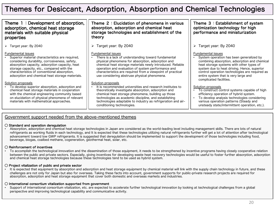## Themes for Desiccant, Adsorption, Absorption and Chemical Technologies

| Theme $1:$ Development of absorption,<br>adsorption, chemical heat storage<br>materials with suitable physical<br>properties                                                                                                                                                                                             | Theme 2: Elucidation of phenomena in various<br>absorption, adsorption and chemical heat<br>storage technologies and establishment of the<br>theory                                                                                                                                                                                                              | Theme 3: Establishment of system<br>optimization technology for high<br>performance and miniaturization                                                                                                                                                                                                                         |
|--------------------------------------------------------------------------------------------------------------------------------------------------------------------------------------------------------------------------------------------------------------------------------------------------------------------------|------------------------------------------------------------------------------------------------------------------------------------------------------------------------------------------------------------------------------------------------------------------------------------------------------------------------------------------------------------------|---------------------------------------------------------------------------------------------------------------------------------------------------------------------------------------------------------------------------------------------------------------------------------------------------------------------------------|
| > Target year: By 2040                                                                                                                                                                                                                                                                                                   | $\triangleright$ Target year: By 2040                                                                                                                                                                                                                                                                                                                            | $\triangleright$ Target year: By 2040                                                                                                                                                                                                                                                                                           |
| Fundamental issues<br>Superior material characteristics are required,<br>considering durability, corrosiveness, safety,<br>absorption capacity, adsorption capacity, heat<br>storage capacity, etc., compared with the<br>characteristics of conventional absorption,<br>adsorption and chemical heat storage materials. | Fundamental issues<br>There is a lack of understanding toward fundamental<br>physical phenomena for absorption, adsorption and<br>chemical heat storage materials newly introduced. Reliable<br>operation and evaluation of system performance and<br>characteristics are required from a viewpoint of practical<br>use considering abstruse physical phenomena. | Fundamental issues<br>System operation has been generalized by<br>combining absorption, adsorption and chemical<br>heat storage systems with other types of<br>system due to heat driving. Hence, superior<br>control operation technologies are required as<br>entire system that is very large and<br>complicated facilities. |
| Solution proposals<br>• To develop superior absorption, adsorption and<br>chemical heat storage materials in cooperation<br>with the chemical engineering community based<br>on elucidation of physical phenomena of relevant<br>materials with mathematical approaches.                                                 | Solution proposals<br>It is recommended universities and research institutes to<br>theoretically investigate absorption, adsorption and<br>chemical heat storage phenomena, building up those<br>technologies as academic discipline, and establishing<br>technologies adaptable to industry as refrigeration and air-<br>conditioning technologies.             | Solution proposals<br>To construct control systems capable of high<br>efficiency operation of hybrid system.<br>To develop analysis technologies considering<br>various operation patterns (Steady and<br>unsteady state/intermittent operation, etc.).                                                                         |

#### Government support needed from the above-mentioned themes

#### ◯ Standard and operation deregulation

• Absorption, adsorption and chemical heat storage technologies in Japan are considered as the world-leading level including management skills. There are lots of natural refrigerants as working fluids in each technology, and It is expected that these technologies utilizing natural refrigerants further will get a lot of attention after technological advancement toward low GWP refrigerants. It is suggested that deregulation should be implemented to support the development of those technologies including food, beverage, biogas, coalbed methane, cogeneration, geothermal heat, solar, etc.

#### ◯ Reinforcement of incentives

• To accomplish the technological innovation and the dissemination of those equipment, it needs to be strengthened by incentive programs having closely cooperative relation between the public and private sectors. Especially, giving incentives for developing waste heat recovery technologies would be useful to foster further absorption, adsorption and chemical heat storage technologies because these technologies tend to be used as hybrid system.

#### ◯ Project vitalization of public and private sector

It is expected that equipment by absorption and adsorption and heat storage equipment by chemical material will link with the supply chain technology in future, and these challenges are not only for Japan but also for overseas. Taking these facts into account, government supports for public-private research projects are required for absorption, adsorption and heat storage equipment that cover both domestic and overseas markets and industries.

#### ◯ International consortium vitalization supported from government

• Support of international consortium vitalization, etc. are expected to accelerate further technological innovation by looking at technological challenges from a global perspective and improving technological capability and communicative activity.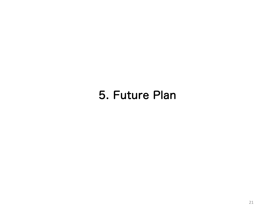# 5. Future Plan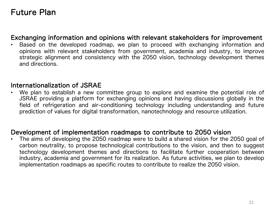## Future Plan

## Exchanging information and opinions with relevant stakeholders for improvement

• Based on the developed roadmap, we plan to proceed with exchanging information and opinions with relevant stakeholders from government, academia and industry, to improve strategic alignment and consistency with the 2050 vision, technology development themes and directions.

## Internationalization of JSRAE

• We plan to establish a new committee group to explore and examine the potential role of JSRAE providing a platform for exchanging opinions and having discussions globally in the field of refrigeration and air-conditioning technology including understanding and future prediction of values for digital transformation, nanotechnology and resource utilization.

## Development of implementation roadmaps to contribute to 2050 vision

• The aims of developing the 2050 roadmap were to build a shared vision for the 2050 goal of carbon neutrality, to propose technological contributions to the vision, and then to suggest technology development themes and directions to facilitate further cooperation between industry, academia and government for its realization. As future activities, we plan to develop implementation roadmaps as specific routes to contribute to realize the 2050 vision.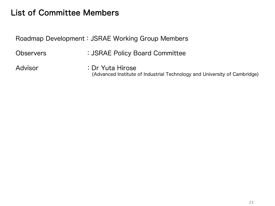## List of Committee Members

Roadmap Development:JSRAE Working Group Members

Observers : JSRAE Policy Board Committee

Advisor : Dr Yuta Hirose (Advanced Institute of Industrial Technology and University of Cambridge)